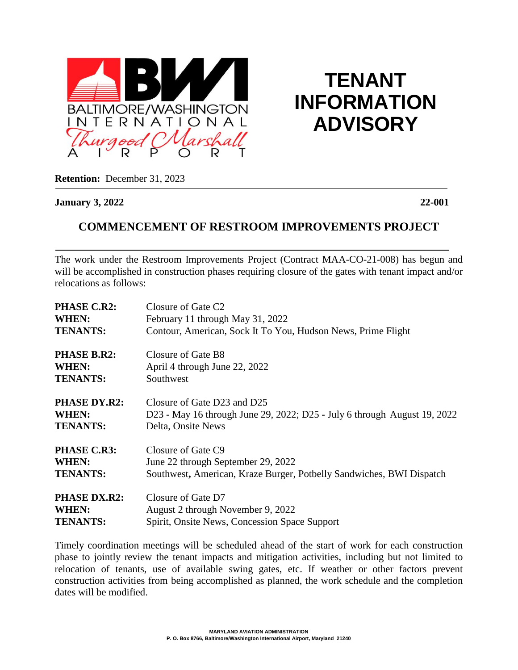

**TENANT INFORMATION ADVISORY**

**Retention:** December 31, 2023

**January 3, 2022 22-001**

## **COMMENCEMENT OF RESTROOM IMPROVEMENTS PROJECT**

 The work under the Restroom Improvements Project (Contract MAA-CO-21-008) has begun and will be accomplished in construction phases requiring closure of the gates with tenant impact and/or relocations as follows:

| <b>PHASE C.R2:</b>  | Closure of Gate C <sub>2</sub>                                           |
|---------------------|--------------------------------------------------------------------------|
| WHEN:               | February 11 through May 31, 2022                                         |
| <b>TENANTS:</b>     | Contour, American, Sock It To You, Hudson News, Prime Flight             |
| <b>PHASE B.R2:</b>  | Closure of Gate B8                                                       |
| WHEN:               | April 4 through June 22, 2022                                            |
| <b>TENANTS:</b>     | Southwest                                                                |
| <b>PHASE DY.R2:</b> | Closure of Gate D23 and D25                                              |
| WHEN:               | D23 - May 16 through June 29, 2022; D25 - July 6 through August 19, 2022 |
| <b>TENANTS:</b>     | Delta, Onsite News                                                       |
| <b>PHASE C.R3:</b>  | Closure of Gate C9                                                       |
| WHEN:               | June 22 through September 29, 2022                                       |
| <b>TENANTS:</b>     | Southwest, American, Kraze Burger, Potbelly Sandwiches, BWI Dispatch     |
| <b>PHASE DX.R2:</b> | Closure of Gate D7                                                       |
| WHEN:               | August 2 through November 9, 2022                                        |
| <b>TENANTS:</b>     | Spirit, Onsite News, Concession Space Support                            |

Timely coordination meetings will be scheduled ahead of the start of work for each construction phase to jointly review the tenant impacts and mitigation activities, including but not limited to relocation of tenants, use of available swing gates, etc. If weather or other factors prevent construction activities from being accomplished as planned, the work schedule and the completion dates will be modified.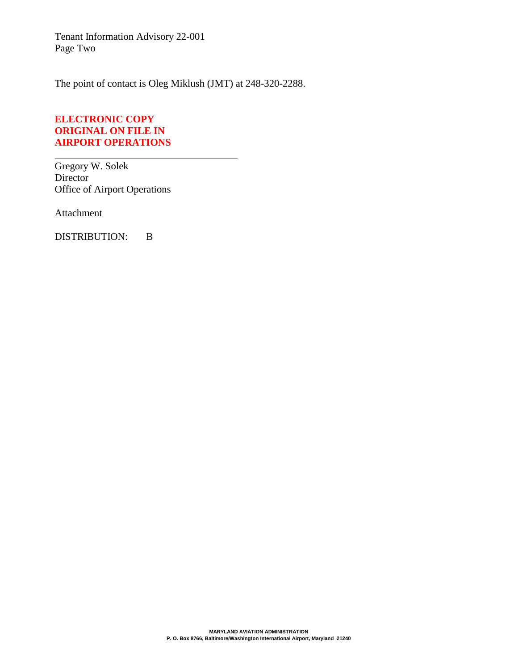Tenant Information Advisory 22-001 Page Two

The point of contact is Oleg Miklush (JMT) at 248-320-2288.

## **ELECTRONIC COPY ORIGINAL ON FILE IN AIRPORT OPERATIONS**

Gregory W. Solek Director Office of Airport Operations

Attachment

DISTRIBUTION: B